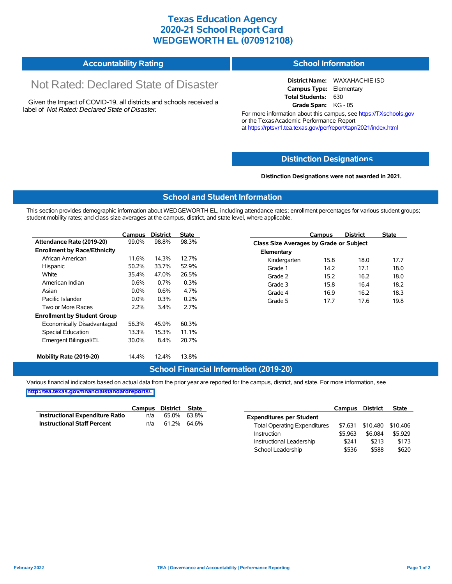## **Texas Education Agency 2020-21 School Report Card WEDGEWORTH EL (070912108)**

#### **Accountability Rating School Information**

# Not Rated: Declared State of Disaster

Given the Impact of COVID-19, all districts and schools received a label of *Not Rated: Declared State of Disaster.*

**District Name:** WAXAHACHIE ISD **Campus Type:** Elementary **Total Students:** 630 **Grade Span:** KG - 05

For more information about this campus, see https://TXschools.gov or the Texas Academic Performance Report at https://rptsvr1.tea.texas.gov/perfreport/tapr/2021/index.html

### **Distinction Designat[ions](https://TXschools.gov)**

**Distinction Designations were not awarded in 2021.**

School Leadership  $$536$  \$588 \$620

#### **School and Student Information**

This section provides demographic information about WEDGEWORTH EL, including attendance rates; enrollment percentages for various student groups; student mobility rates; and class size averages at the campus, district, and state level, where applicable.

|                                     | Campus  | <b>District</b> | <b>State</b> |              | Campus                                  | <b>District</b> | <b>State</b> |  |  |
|-------------------------------------|---------|-----------------|--------------|--------------|-----------------------------------------|-----------------|--------------|--|--|
| Attendance Rate (2019-20)           | 99.0%   | 98.8%           | 98.3%        |              | Class Size Averages by Grade or Subject |                 |              |  |  |
| <b>Enrollment by Race/Ethnicity</b> |         |                 |              | Elementary   |                                         |                 |              |  |  |
| African American                    | 11.6%   | 14.3%           | 12.7%        | Kindergarten | 15.8                                    | 18.0            | 17.7         |  |  |
| Hispanic                            | 50.2%   | 33.7%           | 52.9%        | Grade 1      | 14.2                                    | 17.1            | 18.0         |  |  |
| White                               | 35.4%   | 47.0%           | 26.5%        | Grade 2      | 15.2                                    | 16.2            | 18.0         |  |  |
| American Indian                     | 0.6%    | 0.7%            | 0.3%         | Grade 3      | 15.8                                    | 16.4            | 18.2         |  |  |
| Asian                               | $0.0\%$ | 0.6%            | 4.7%         | Grade 4      | 16.9                                    | 16.2            | 18.3         |  |  |
| Pacific Islander                    | $0.0\%$ | 0.3%            | 0.2%         | Grade 5      | 17.7                                    | 17.6            | 19.8         |  |  |
| Two or More Races                   | 2.2%    | 3.4%            | 2.7%         |              |                                         |                 |              |  |  |
| <b>Enrollment by Student Group</b>  |         |                 |              |              |                                         |                 |              |  |  |
| Economically Disadvantaged          | 56.3%   | 45.9%           | 60.3%        |              |                                         |                 |              |  |  |
| Special Education                   | 13.3%   | 15.3%           | 11.1%        |              |                                         |                 |              |  |  |
| Emergent Bilingual/EL               | 30.0%   | 8.4%            | 20.7%        |              |                                         |                 |              |  |  |
|                                     |         |                 |              |              |                                         |                 |              |  |  |
| Mobility Rate (2019-20)             | 14.4%   | 12.4%           | 13.8%        |              |                                         |                 |              |  |  |

### **School Financial Information (2019-20)**

Various financial indicators based on actual data from the prior year are reported for the campus, district, and state. For more information, see

**[http://tea.texas.gov/financialstandardreports/.](http://tea.texas.gov/financialstandardreports/)**

|                                        | Campus | District | State       |                                     | Campus  | <b>District</b> | <b>State</b> |
|----------------------------------------|--------|----------|-------------|-------------------------------------|---------|-----------------|--------------|
| <b>Instructional Expenditure Ratio</b> | n/a    | 65.0%    | 63.8%       | <b>Expenditures per Student</b>     |         |                 |              |
| <b>Instructional Staff Percent</b>     | n/a    |          | 61.2% 64.6% | <b>Total Operating Expenditures</b> | \$7.631 | \$10.480        | \$10,406     |
|                                        |        |          |             | Instruction                         | \$5.963 | \$6,084         | \$5.929      |
|                                        |        |          |             | Instructional Leadership            | \$241   | \$213           | \$173        |